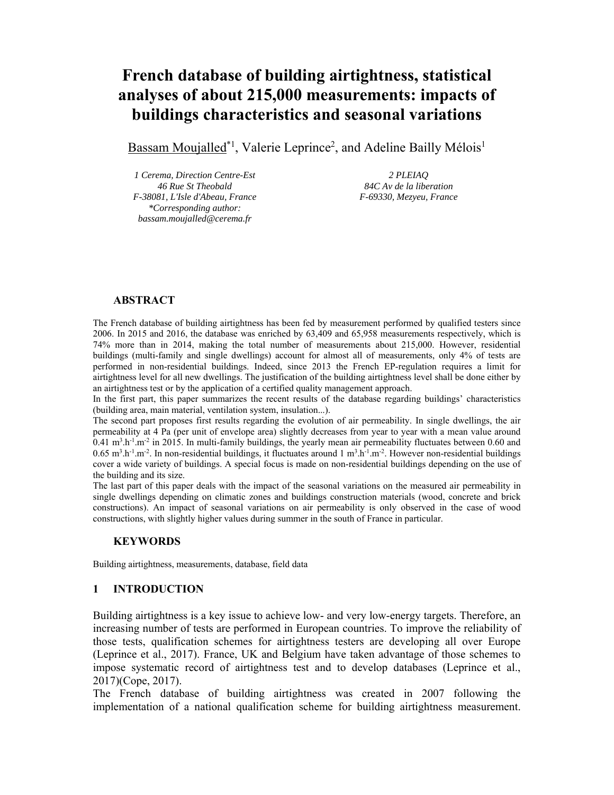# **French database of building airtightness, statistical analyses of about 215,000 measurements: impacts of buildings characteristics and seasonal variations**

Bassam Moujalled<sup>\*1</sup>, Valerie Leprince<sup>2</sup>, and Adeline Bailly Mélois<sup>1</sup>

*1 Cerema, Direction Centre-Est 46 Rue St Theobald F-38081, L'Isle d'Abeau, France \*Corresponding author: bassam.moujalled@cerema.fr* 

*2 PLEIAQ 84C Av de la liberation F-69330, Mezyeu, France* 

# **ABSTRACT**

The French database of building airtightness has been fed by measurement performed by qualified testers since 2006. In 2015 and 2016, the database was enriched by 63,409 and 65,958 measurements respectively, which is 74% more than in 2014, making the total number of measurements about 215,000. However, residential buildings (multi-family and single dwellings) account for almost all of measurements, only 4% of tests are performed in non-residential buildings. Indeed, since 2013 the French EP-regulation requires a limit for airtightness level for all new dwellings. The justification of the building airtightness level shall be done either by an airtightness test or by the application of a certified quality management approach.

In the first part, this paper summarizes the recent results of the database regarding buildings' characteristics (building area, main material, ventilation system, insulation...).

The second part proposes first results regarding the evolution of air permeability. In single dwellings, the air permeability at 4 Pa (per unit of envelope area) slightly decreases from year to year with a mean value around  $0.41 \text{ m}^3 \cdot \text{h}^{-1} \cdot \text{m}^{-2}$  in 2015. In multi-family buildings, the yearly mean air permeability fluctuates between 0.60 and  $0.65$  m<sup>3</sup>.h<sup>-1</sup>.m<sup>-2</sup>. In non-residential buildings, it fluctuates around  $1 \text{ m}^3 \cdot \text{h}^{-1} \cdot \text{m}^{-2}$ . However non-residential buildings cover a wide variety of buildings. A special focus is made on non-residential buildings depending on the use of the building and its size.

The last part of this paper deals with the impact of the seasonal variations on the measured air permeability in single dwellings depending on climatic zones and buildings construction materials (wood, concrete and brick constructions). An impact of seasonal variations on air permeability is only observed in the case of wood constructions, with slightly higher values during summer in the south of France in particular.

## **KEYWORDS**

Building airtightness, measurements, database, field data

## **1 INTRODUCTION**

Building airtightness is a key issue to achieve low- and very low-energy targets. Therefore, an increasing number of tests are performed in European countries. To improve the reliability of those tests, qualification schemes for airtightness testers are developing all over Europe (Leprince et al., 2017). France, UK and Belgium have taken advantage of those schemes to impose systematic record of airtightness test and to develop databases (Leprince et al., 2017)(Cope, 2017).

The French database of building airtightness was created in 2007 following the implementation of a national qualification scheme for building airtightness measurement.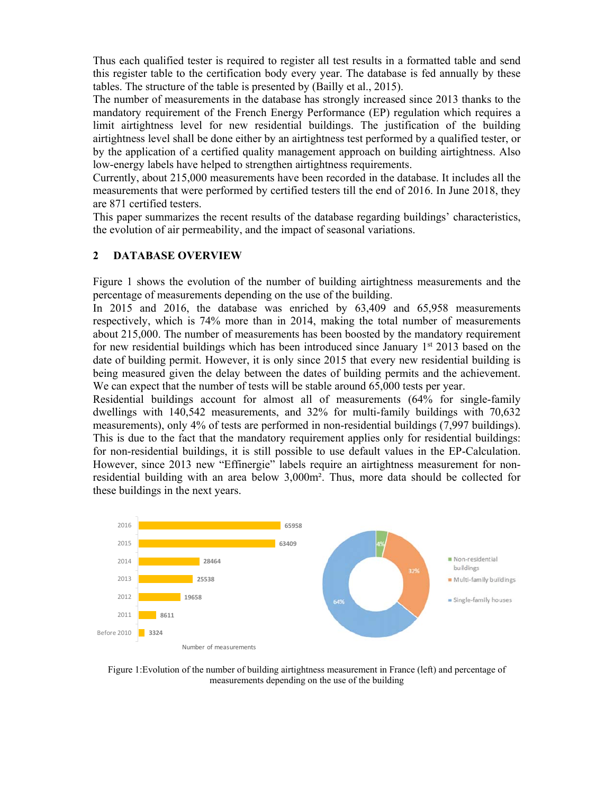Thus each qualified tester is required to register all test results in a formatted table and send this register table to the certification body every year. The database is fed annually by these tables. The structure of the table is presented by (Bailly et al., 2015).

The number of measurements in the database has strongly increased since 2013 thanks to the mandatory requirement of the French Energy Performance (EP) regulation which requires a limit airtightness level for new residential buildings. The justification of the building airtightness level shall be done either by an airtightness test performed by a qualified tester, or by the application of a certified quality management approach on building airtightness. Also low-energy labels have helped to strengthen airtightness requirements.

Currently, about 215,000 measurements have been recorded in the database. It includes all the measurements that were performed by certified testers till the end of 2016. In June 2018, they are 871 certified testers.

This paper summarizes the recent results of the database regarding buildings' characteristics, the evolution of air permeability, and the impact of seasonal variations.

# **2 DATABASE OVERVIEW**

Figure 1 shows the evolution of the number of building airtightness measurements and the percentage of measurements depending on the use of the building.

In 2015 and 2016, the database was enriched by 63,409 and 65,958 measurements respectively, which is 74% more than in 2014, making the total number of measurements about 215,000. The number of measurements has been boosted by the mandatory requirement for new residential buildings which has been introduced since January  $1<sup>st</sup> 2013$  based on the date of building permit. However, it is only since 2015 that every new residential building is being measured given the delay between the dates of building permits and the achievement. We can expect that the number of tests will be stable around 65,000 tests per year.

Residential buildings account for almost all of measurements (64% for single-family dwellings with 140,542 measurements, and 32% for multi-family buildings with 70,632 measurements), only 4% of tests are performed in non-residential buildings (7,997 buildings). This is due to the fact that the mandatory requirement applies only for residential buildings: for non-residential buildings, it is still possible to use default values in the EP-Calculation. However, since 2013 new "Effinergie" labels require an airtightness measurement for nonresidential building with an area below 3,000m². Thus, more data should be collected for these buildings in the next years.



Figure 1:Evolution of the number of building airtightness measurement in France (left) and percentage of measurements depending on the use of the building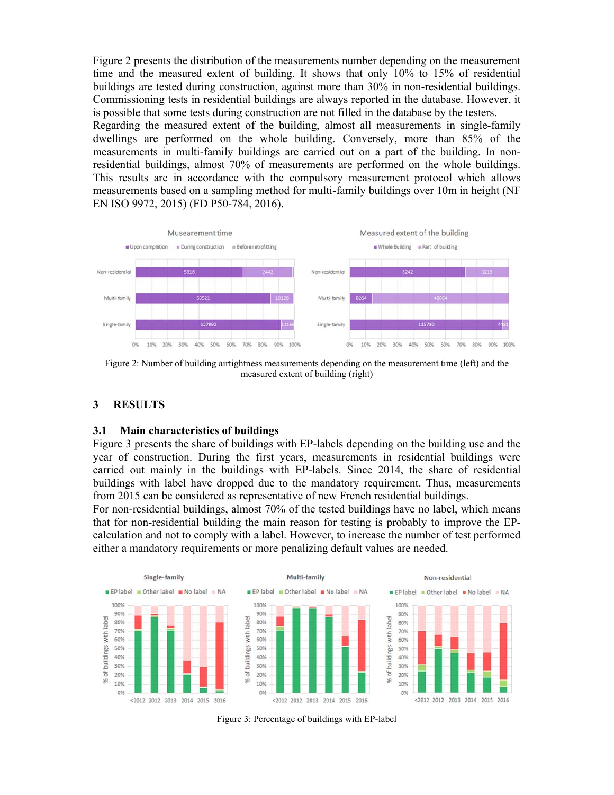Figure 2 presents the distribution of the measurements number depending on the measurement time and the measured extent of building. It shows that only 10% to 15% of residential buildings are tested during construction, against more than 30% in non-residential buildings. Commissioning tests in residential buildings are always reported in the database. However, it is possible that some tests during construction are not filled in the database by the testers.

Regarding the measured extent of the building, almost all measurements in single-family dwellings are performed on the whole building. Conversely, more than 85% of the measurements in multi-family buildings are carried out on a part of the building. In nonresidential buildings, almost 70% of measurements are performed on the whole buildings. This results are in accordance with the compulsory measurement protocol which allows measurements based on a sampling method for multi-family buildings over 10m in height (NF EN ISO 9972, 2015) (FD P50-784, 2016).



Figure 2: Number of building airtightness measurements depending on the measurement time (left) and the measured extent of building (right)

## **3 RESULTS**

#### **3.1 Main characteristics of buildings**

Figure 3 presents the share of buildings with EP-labels depending on the building use and the year of construction. During the first years, measurements in residential buildings were carried out mainly in the buildings with EP-labels. Since 2014, the share of residential buildings with label have dropped due to the mandatory requirement. Thus, measurements from 2015 can be considered as representative of new French residential buildings.

For non-residential buildings, almost 70% of the tested buildings have no label, which means that for non-residential building the main reason for testing is probably to improve the EPcalculation and not to comply with a label. However, to increase the number of test performed either a mandatory requirements or more penalizing default values are needed.



Figure 3: Percentage of buildings with EP-label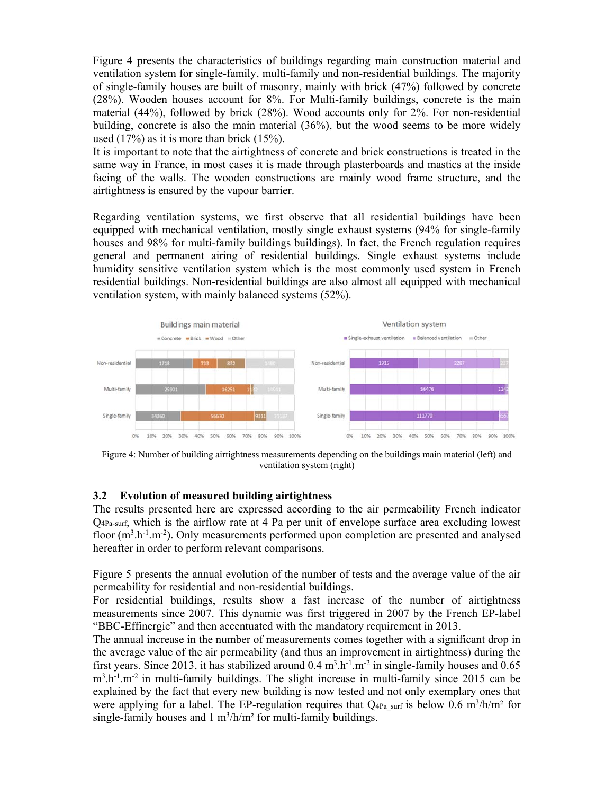Figure 4 presents the characteristics of buildings regarding main construction material and ventilation system for single-family, multi-family and non-residential buildings. The majority of single-family houses are built of masonry, mainly with brick (47%) followed by concrete (28%). Wooden houses account for 8%. For Multi-family buildings, concrete is the main material (44%), followed by brick (28%). Wood accounts only for 2%. For non-residential building, concrete is also the main material (36%), but the wood seems to be more widely used  $(17\%)$  as it is more than brick  $(15\%).$ 

It is important to note that the airtightness of concrete and brick constructions is treated in the same way in France, in most cases it is made through plasterboards and mastics at the inside facing of the walls. The wooden constructions are mainly wood frame structure, and the airtightness is ensured by the vapour barrier.

Regarding ventilation systems, we first observe that all residential buildings have been equipped with mechanical ventilation, mostly single exhaust systems (94% for single-family houses and 98% for multi-family buildings buildings). In fact, the French regulation requires general and permanent airing of residential buildings. Single exhaust systems include humidity sensitive ventilation system which is the most commonly used system in French residential buildings. Non-residential buildings are also almost all equipped with mechanical ventilation system, with mainly balanced systems (52%).



Figure 4: Number of building airtightness measurements depending on the buildings main material (left) and ventilation system (right)

# **3.2 Evolution of measured building airtightness**

The results presented here are expressed according to the air permeability French indicator Q4Pa-surf, which is the airflow rate at 4 Pa per unit of envelope surface area excluding lowest floor  $(m^3.h^{-1}.m^{-2})$ . Only measurements performed upon completion are presented and analysed hereafter in order to perform relevant comparisons.

Figure 5 presents the annual evolution of the number of tests and the average value of the air permeability for residential and non-residential buildings.

For residential buildings, results show a fast increase of the number of airtightness measurements since 2007. This dynamic was first triggered in 2007 by the French EP-label "BBC-Effinergie" and then accentuated with the mandatory requirement in 2013.

The annual increase in the number of measurements comes together with a significant drop in the average value of the air permeability (and thus an improvement in airtightness) during the first years. Since 2013, it has stabilized around  $0.4 \text{ m}^3 \cdot \text{h}^{-1} \cdot \text{m}^{-2}$  in single-family houses and  $0.65$  $m<sup>3</sup> h<sup>-1</sup> m<sup>-2</sup>$  in multi-family buildings. The slight increase in multi-family since 2015 can be explained by the fact that every new building is now tested and not only exemplary ones that were applying for a label. The EP-regulation requires that  $Q_{4Pa}$  surf is below 0.6 m<sup>3</sup>/h/m<sup>2</sup> for single-family houses and  $1 \text{ m}^3/\text{h/m}^2$  for multi-family buildings.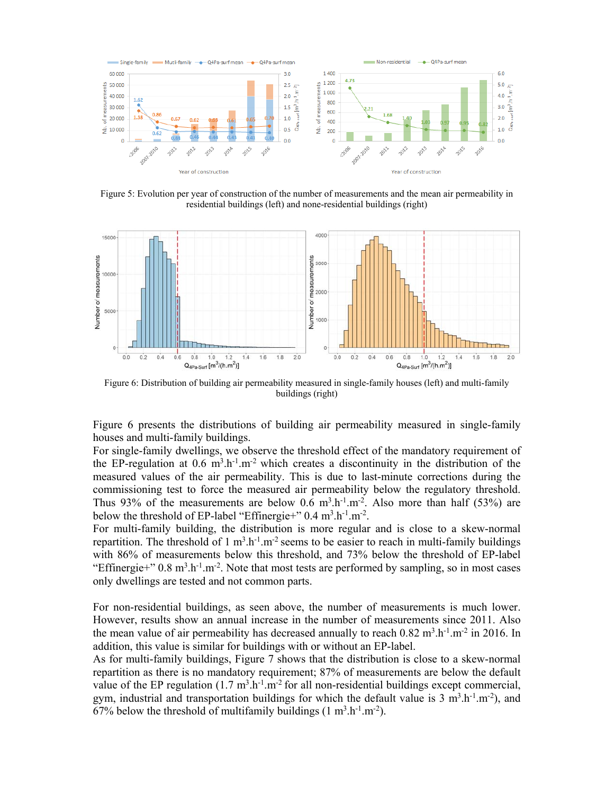

Figure 5: Evolution per year of construction of the number of measurements and the mean air permeability in residential buildings (left) and none-residential buildings (right)



Figure 6: Distribution of building air permeability measured in single-family houses (left) and multi-family buildings (right)

Figure 6 presents the distributions of building air permeability measured in single-family houses and multi-family buildings.

For single-family dwellings, we observe the threshold effect of the mandatory requirement of the EP-regulation at  $0.6 \text{ m}^3 \cdot h^{-1} \cdot \text{m}^{-2}$  which creates a discontinuity in the distribution of the measured values of the air permeability. This is due to last-minute corrections during the commissioning test to force the measured air permeability below the regulatory threshold. Thus 93% of the measurements are below 0.6  $m^3 \cdot h^{-1} \cdot m^{-2}$ . Also more than half (53%) are below the threshold of EP-label "Effinergie+"  $0.4 \text{ m}^3 \cdot \text{h}^{-1} \cdot \text{m}^{-2}$ .

For multi-family building, the distribution is more regular and is close to a skew-normal repartition. The threshold of 1 m<sup>3</sup>.h<sup>-1</sup>.m<sup>-2</sup> seems to be easier to reach in multi-family buildings with 86% of measurements below this threshold, and 73% below the threshold of EP-label "Effinergie+"  $0.8 \text{ m}^3 \cdot \text{h}^{-1} \cdot \text{m}^{-2}$ . Note that most tests are performed by sampling, so in most cases only dwellings are tested and not common parts.

For non-residential buildings, as seen above, the number of measurements is much lower. However, results show an annual increase in the number of measurements since 2011. Also the mean value of air permeability has decreased annually to reach  $0.82 \text{ m}^3 \cdot \text{h}^{-1} \cdot \text{m}^{-2}$  in 2016. In addition, this value is similar for buildings with or without an EP-label.

As for multi-family buildings, Figure 7 shows that the distribution is close to a skew-normal repartition as there is no mandatory requirement; 87% of measurements are below the default value of the EP regulation  $(1.7 \text{ m}^3 \cdot \text{h}^{-1} \cdot \text{m}^{-2}$  for all non-residential buildings except commercial, gym, industrial and transportation buildings for which the default value is 3 m<sup>3</sup>.h<sup>-1</sup>.m<sup>-2</sup>), and 67% below the threshold of multifamily buildings  $(1 \text{ m}^3 \text{.} \text{h}^{-1} \text{.} \text{m}^{-2})$ .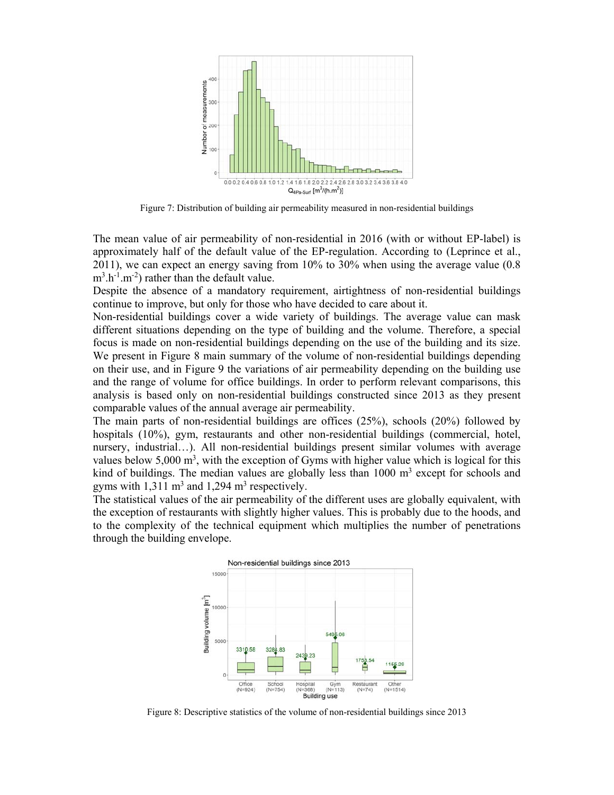

Figure 7: Distribution of building air permeability measured in non-residential buildings

The mean value of air permeability of non-residential in 2016 (with or without EP-label) is approximately half of the default value of the EP-regulation. According to (Leprince et al., 2011), we can expect an energy saving from 10% to 30% when using the average value (0.8  $m^3 \cdot h^{-1} \cdot m^{-2}$  rather than the default value.

Despite the absence of a mandatory requirement, airtightness of non-residential buildings continue to improve, but only for those who have decided to care about it.

Non-residential buildings cover a wide variety of buildings. The average value can mask different situations depending on the type of building and the volume. Therefore, a special focus is made on non-residential buildings depending on the use of the building and its size. We present in Figure 8 main summary of the volume of non-residential buildings depending on their use, and in Figure 9 the variations of air permeability depending on the building use and the range of volume for office buildings. In order to perform relevant comparisons, this analysis is based only on non-residential buildings constructed since 2013 as they present comparable values of the annual average air permeability.

The main parts of non-residential buildings are offices (25%), schools (20%) followed by hospitals (10%), gym, restaurants and other non-residential buildings (commercial, hotel, nursery, industrial…). All non-residential buildings present similar volumes with average values below 5,000  $\text{m}^3$ , with the exception of Gyms with higher value which is logical for this kind of buildings. The median values are globally less than  $1000 \text{ m}^3$  except for schools and gyms with  $1,311 \text{ m}^3$  and  $1,294 \text{ m}^3$  respectively.

The statistical values of the air permeability of the different uses are globally equivalent, with the exception of restaurants with slightly higher values. This is probably due to the hoods, and to the complexity of the technical equipment which multiplies the number of penetrations through the building envelope.



Figure 8: Descriptive statistics of the volume of non-residential buildings since 2013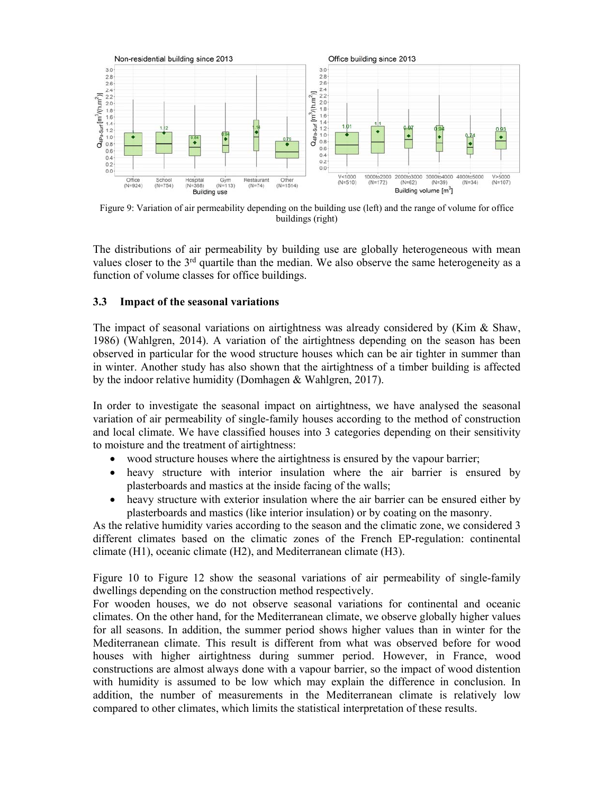

Figure 9: Variation of air permeability depending on the building use (left) and the range of volume for office buildings (right)

The distributions of air permeability by building use are globally heterogeneous with mean values closer to the 3<sup>rd</sup> quartile than the median. We also observe the same heterogeneity as a function of volume classes for office buildings.

## **3.3 Impact of the seasonal variations**

The impact of seasonal variations on airtightness was already considered by (Kim & Shaw, 1986) (Wahlgren, 2014). A variation of the airtightness depending on the season has been observed in particular for the wood structure houses which can be air tighter in summer than in winter. Another study has also shown that the airtightness of a timber building is affected by the indoor relative humidity (Domhagen & Wahlgren, 2017).

In order to investigate the seasonal impact on airtightness, we have analysed the seasonal variation of air permeability of single-family houses according to the method of construction and local climate. We have classified houses into 3 categories depending on their sensitivity to moisture and the treatment of airtightness:

- wood structure houses where the airtightness is ensured by the vapour barrier;
- heavy structure with interior insulation where the air barrier is ensured by plasterboards and mastics at the inside facing of the walls;
- heavy structure with exterior insulation where the air barrier can be ensured either by plasterboards and mastics (like interior insulation) or by coating on the masonry.

As the relative humidity varies according to the season and the climatic zone, we considered 3 different climates based on the climatic zones of the French EP-regulation: continental climate (H1), oceanic climate (H2), and Mediterranean climate (H3).

Figure 10 to Figure 12 show the seasonal variations of air permeability of single-family dwellings depending on the construction method respectively.

For wooden houses, we do not observe seasonal variations for continental and oceanic climates. On the other hand, for the Mediterranean climate, we observe globally higher values for all seasons. In addition, the summer period shows higher values than in winter for the Mediterranean climate. This result is different from what was observed before for wood houses with higher airtightness during summer period. However, in France, wood constructions are almost always done with a vapour barrier, so the impact of wood distention with humidity is assumed to be low which may explain the difference in conclusion. In addition, the number of measurements in the Mediterranean climate is relatively low compared to other climates, which limits the statistical interpretation of these results.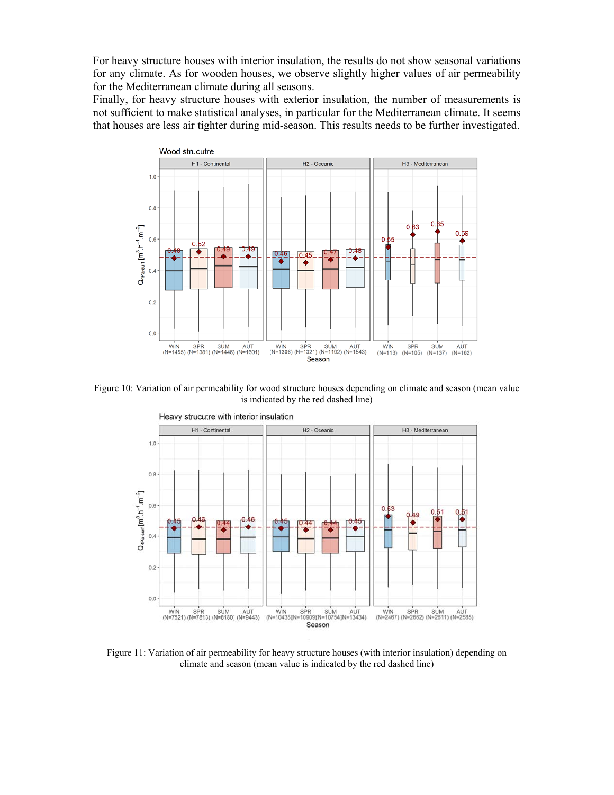For heavy structure houses with interior insulation, the results do not show seasonal variations for any climate. As for wooden houses, we observe slightly higher values of air permeability for the Mediterranean climate during all seasons.

Finally, for heavy structure houses with exterior insulation, the number of measurements is not sufficient to make statistical analyses, in particular for the Mediterranean climate. It seems that houses are less air tighter during mid-season. This results needs to be further investigated.



Figure 10: Variation of air permeability for wood structure houses depending on climate and season (mean value is indicated by the red dashed line)



Figure 11: Variation of air permeability for heavy structure houses (with interior insulation) depending on climate and season (mean value is indicated by the red dashed line)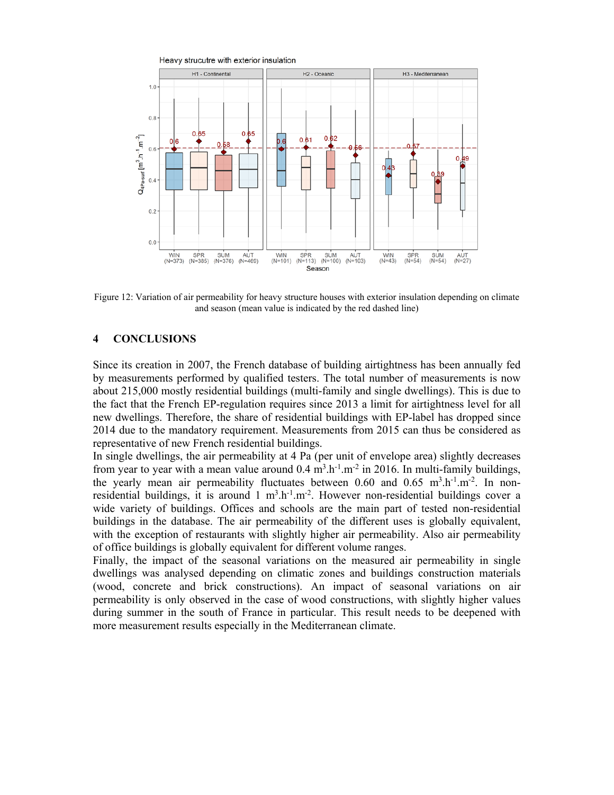

Figure 12: Variation of air permeability for heavy structure houses with exterior insulation depending on climate and season (mean value is indicated by the red dashed line)

# **4 CONCLUSIONS**

Since its creation in 2007, the French database of building airtightness has been annually fed by measurements performed by qualified testers. The total number of measurements is now about 215,000 mostly residential buildings (multi-family and single dwellings). This is due to the fact that the French EP-regulation requires since 2013 a limit for airtightness level for all new dwellings. Therefore, the share of residential buildings with EP-label has dropped since 2014 due to the mandatory requirement. Measurements from 2015 can thus be considered as representative of new French residential buildings.

In single dwellings, the air permeability at 4 Pa (per unit of envelope area) slightly decreases from year to year with a mean value around  $0.4 \text{ m}^3 \cdot \text{h}^{-1} \cdot \text{m}^{-2}$  in 2016. In multi-family buildings, the yearly mean air permeability fluctuates between 0.60 and 0.65  $m<sup>3</sup> h<sup>-1</sup> m<sup>-2</sup>$ . In nonresidential buildings, it is around  $1 \text{ m}^3 \cdot h^{-1} \cdot \text{m}^{-2}$ . However non-residential buildings cover a wide variety of buildings. Offices and schools are the main part of tested non-residential buildings in the database. The air permeability of the different uses is globally equivalent, with the exception of restaurants with slightly higher air permeability. Also air permeability of office buildings is globally equivalent for different volume ranges.

Finally, the impact of the seasonal variations on the measured air permeability in single dwellings was analysed depending on climatic zones and buildings construction materials (wood, concrete and brick constructions). An impact of seasonal variations on air permeability is only observed in the case of wood constructions, with slightly higher values during summer in the south of France in particular. This result needs to be deepened with more measurement results especially in the Mediterranean climate.